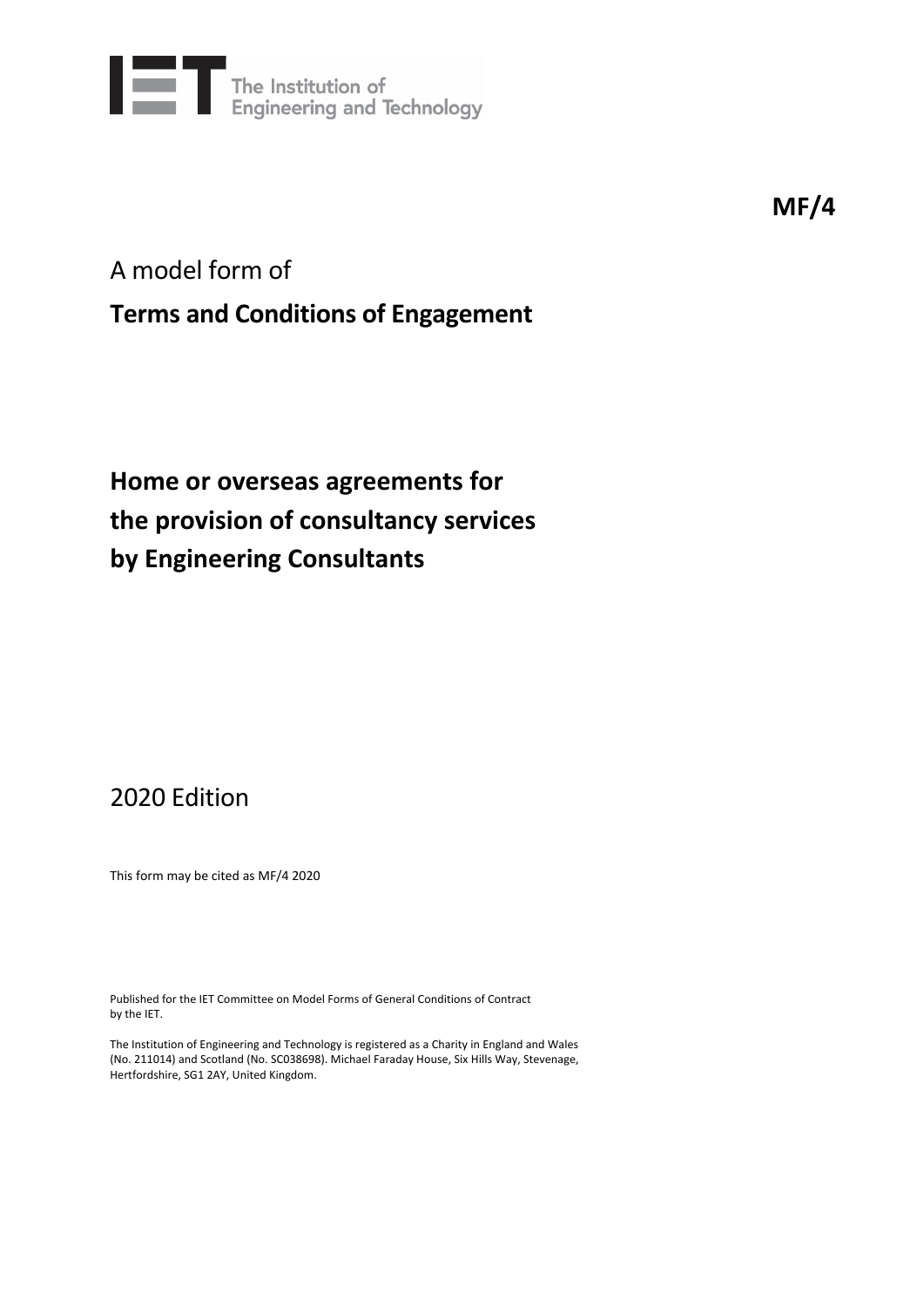

**MF/4**

## A model form of

## **Terms and Conditions of Engagement**

# **Home or overseas agreements for the provision of consultancy services by Engineering Consultants**

## 2020 Edition

This form may be cited as MF/4 2020

Published for the IET Committee on Model Forms of General Conditions of Contract by the IET.

The Institution of Engineering and Technology is registered as a Charity in England and Wales (No. 211014) and Scotland (No. SC038698). Michael Faraday House, Six Hills Way, Stevenage, Hertfordshire, SG1 2AY, United Kingdom.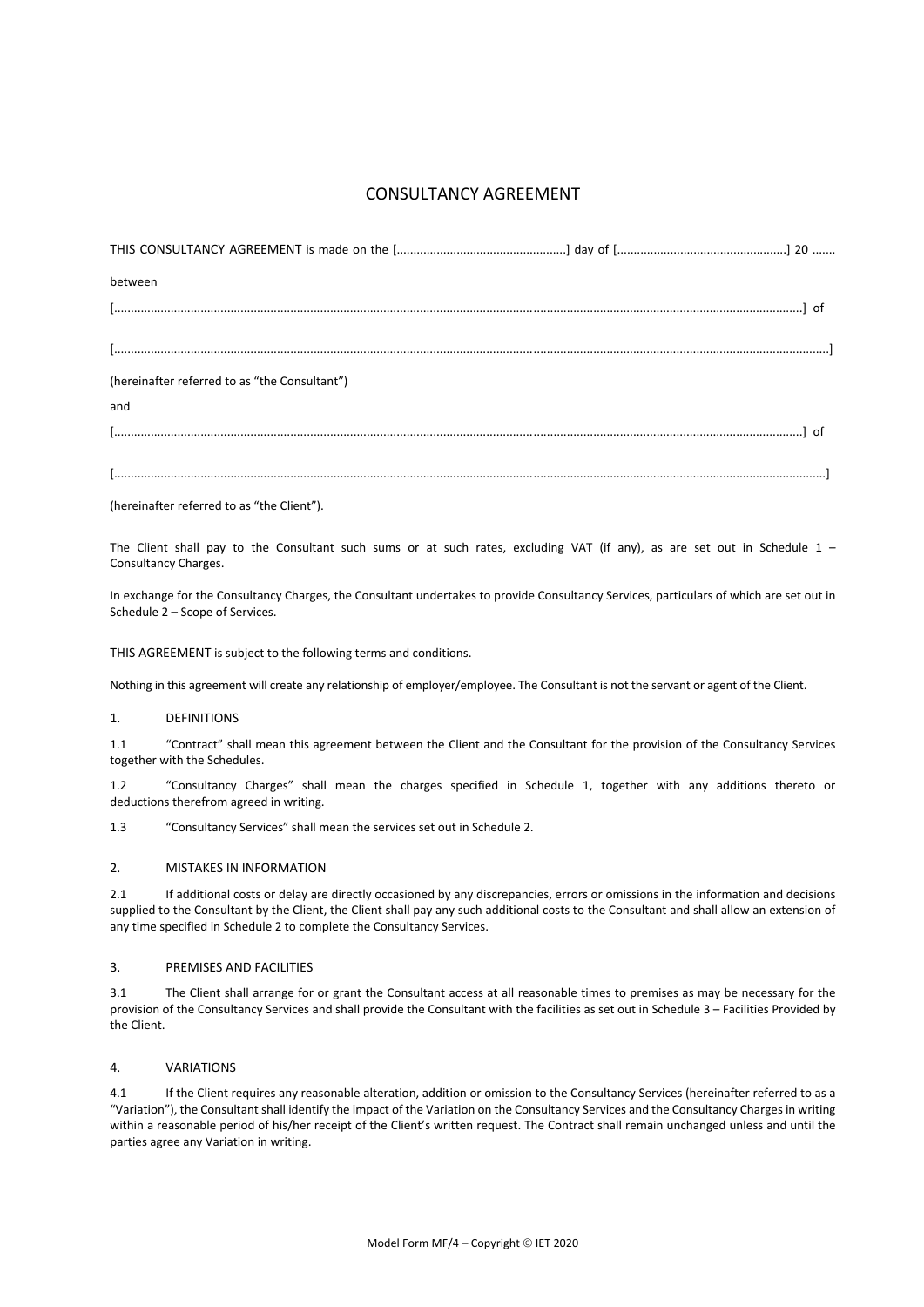### CONSULTANCY AGREEMENT

| between                                       |  |
|-----------------------------------------------|--|
|                                               |  |
|                                               |  |
| (hereinafter referred to as "the Consultant") |  |
| and                                           |  |
|                                               |  |
|                                               |  |

(hereinafter referred to as "the Client").

The Client shall pay to the Consultant such sums or at such rates, excluding VAT (if any), as are set out in Schedule  $1 -$ Consultancy Charges.

In exchange for the Consultancy Charges, the Consultant undertakes to provide Consultancy Services, particulars of which are set out in Schedule 2 – Scope of Services.

THIS AGREEMENT is subject to the following terms and conditions.

Nothing in this agreement will create any relationship of employer/employee. The Consultant is not the servant or agent of the Client.

#### 1. DEFINITIONS

1.1 "Contract" shall mean this agreement between the Client and the Consultant for the provision of the Consultancy Services together with the Schedules.

1.2 "Consultancy Charges" shall mean the charges specified in Schedule 1, together with any additions thereto or deductions therefrom agreed in writing.

1.3 "Consultancy Services" shall mean the services set out in Schedule 2.

#### 2. MISTAKES IN INFORMATION

2.1 If additional costs or delay are directly occasioned by any discrepancies, errors or omissions in the information and decisions supplied to the Consultant by the Client, the Client shall pay any such additional costs to the Consultant and shall allow an extension of any time specified in Schedule 2 to complete the Consultancy Services.

#### 3. PREMISES AND FACILITIES

3.1 The Client shall arrange for or grant the Consultant access at all reasonable times to premises as may be necessary for the provision of the Consultancy Services and shall provide the Consultant with the facilities as set out in Schedule 3 – Facilities Provided by the Client.

#### 4. VARIATIONS

4.1 If the Client requires any reasonable alteration, addition or omission to the Consultancy Services (hereinafter referred to as a "Variation"), the Consultant shall identify the impact of the Variation on the Consultancy Services and the Consultancy Charges in writing within a reasonable period of his/her receipt of the Client's written request. The Contract shall remain unchanged unless and until the parties agree any Variation in writing.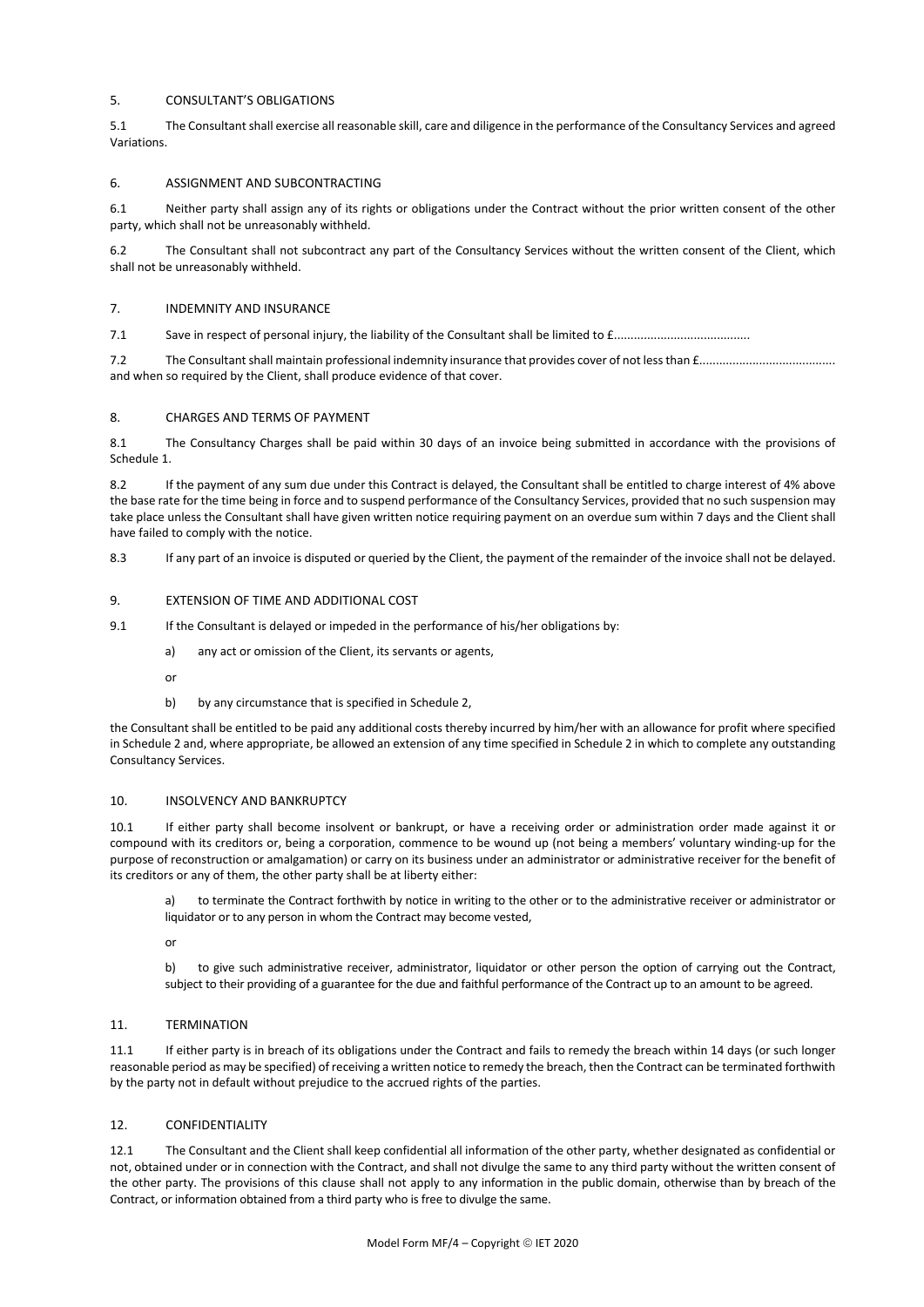#### 5. CONSULTANT'S OBLIGATIONS

5.1 The Consultant shall exercise all reasonable skill, care and diligence in the performance of the Consultancy Services and agreed Variations.

#### 6. ASSIGNMENT AND SUBCONTRACTING

6.1 Neither party shall assign any of its rights or obligations under the Contract without the prior written consent of the other party, which shall not be unreasonably withheld.

6.2 The Consultant shall not subcontract any part of the Consultancy Services without the written consent of the Client, which shall not be unreasonably withheld.

#### 7. INDEMNITY AND INSURANCE

7.1 Save in respect of personal injury, the liability of the Consultant shall be limited to  $f_{1}, \ldots, f_{n}$ 

7.2 The Consultantshall maintain professional indemnity insurance that provides cover of not lessthan £......................................... and when so required by the Client, shall produce evidence of that cover.

#### 8. CHARGES AND TERMS OF PAYMENT

8.1 The Consultancy Charges shall be paid within 30 days of an invoice being submitted in accordance with the provisions of Schedule 1.

8.2 If the payment of any sum due under this Contract is delayed, the Consultant shall be entitled to charge interest of 4% above the base rate for the time being in force and to suspend performance of the Consultancy Services, provided that no such suspension may take place unless the Consultant shall have given written notice requiring payment on an overdue sum within 7 days and the Client shall have failed to comply with the notice.

8.3 If any part of an invoice is disputed or queried by the Client, the payment of the remainder of the invoice shall not be delayed.

#### 9. EXTENSION OF TIME AND ADDITIONAL COST

9.1 If the Consultant is delayed or impeded in the performance of his/her obligations by:

- a) any act or omission of the Client, its servants or agents,
- or
- b) by any circumstance that is specified in Schedule 2,

the Consultant shall be entitled to be paid any additional costs thereby incurred by him/her with an allowance for profit where specified in Schedule 2 and, where appropriate, be allowed an extension of any time specified in Schedule 2 in which to complete any outstanding Consultancy Services.

#### 10. INSOLVENCY AND BANKRUPTCY

10.1 If either party shall become insolvent or bankrupt, or have a receiving order or administration order made against it or compound with its creditors or, being a corporation, commence to be wound up (not being a members' voluntary winding-up for the purpose of reconstruction or amalgamation) or carry on its business under an administrator or administrative receiver for the benefit of its creditors or any of them, the other party shall be at liberty either:

to terminate the Contract forthwith by notice in writing to the other or to the administrative receiver or administrator or liquidator or to any person in whom the Contract may become vested,

or

b) to give such administrative receiver, administrator, liquidator or other person the option of carrying out the Contract, subject to their providing of a guarantee for the due and faithful performance of the Contract up to an amount to be agreed.

#### 11. TERMINATION

11.1 If either party is in breach of its obligations under the Contract and fails to remedy the breach within 14 days (or such longer reasonable period as may be specified) ofreceiving a written notice to remedy the breach, then the Contract can be terminated forthwith by the party not in default without prejudice to the accrued rights of the parties.

#### 12. CONFIDENTIALITY

12.1 The Consultant and the Client shall keep confidential all information of the other party, whether designated as confidential or not, obtained under or in connection with the Contract, and shall not divulge the same to any third party without the written consent of the other party. The provisions of this clause shall not apply to any information in the public domain, otherwise than by breach of the Contract, or information obtained from a third party who is free to divulge the same.